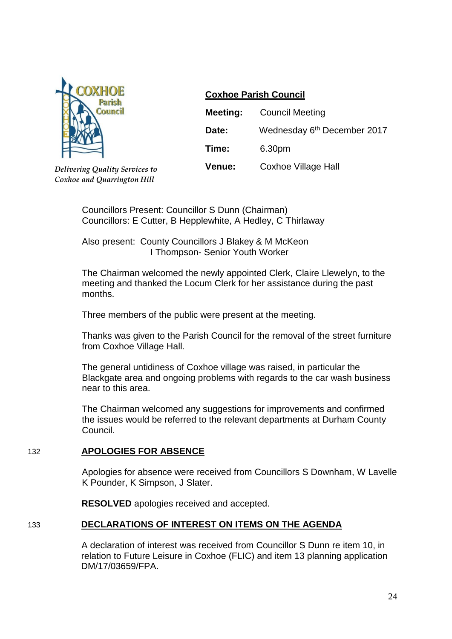

*Delivering Quality Services to Coxhoe and Quarrington Hill* 

# **Coxhoe Parish Council**

| Meeting: | <b>Council Meeting</b>                  |
|----------|-----------------------------------------|
| Date:    | Wednesday 6 <sup>th</sup> December 2017 |
| Time:    | 6.30pm                                  |
| Venue:   | <b>Coxhoe Village Hall</b>              |

Councillors Present: Councillor S Dunn (Chairman) Councillors: E Cutter, B Hepplewhite, A Hedley, C Thirlaway

Also present: County Councillors J Blakey & M McKeon I Thompson- Senior Youth Worker

The Chairman welcomed the newly appointed Clerk, Claire Llewelyn, to the meeting and thanked the Locum Clerk for her assistance during the past months.

Three members of the public were present at the meeting.

Thanks was given to the Parish Council for the removal of the street furniture from Coxhoe Village Hall.

The general untidiness of Coxhoe village was raised, in particular the Blackgate area and ongoing problems with regards to the car wash business near to this area.

The Chairman welcomed any suggestions for improvements and confirmed the issues would be referred to the relevant departments at Durham County Council.

## 132 **APOLOGIES FOR ABSENCE**

Apologies for absence were received from Councillors S Downham, W Lavelle K Pounder, K Simpson, J Slater.

**RESOLVED** apologies received and accepted.

## 133 **DECLARATIONS OF INTEREST ON ITEMS ON THE AGENDA**

A declaration of interest was received from Councillor S Dunn re item 10, in relation to Future Leisure in Coxhoe (FLIC) and item 13 planning application DM/17/03659/FPA.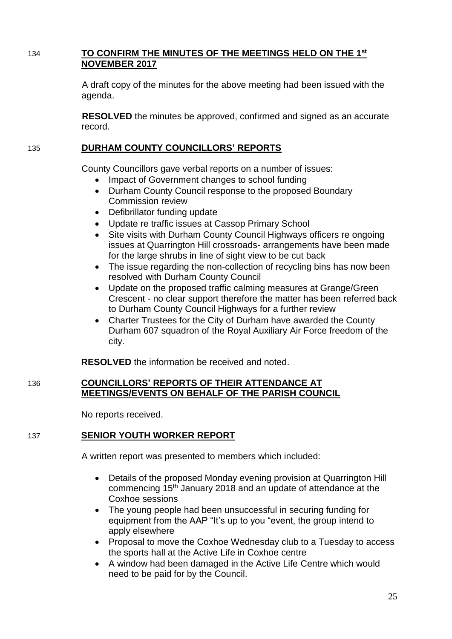# 134 **TO CONFIRM THE MINUTES OF THE MEETINGS HELD ON THE 1 st NOVEMBER 2017**

A draft copy of the minutes for the above meeting had been issued with the agenda.

**RESOLVED** the minutes be approved, confirmed and signed as an accurate record.

## 135 **DURHAM COUNTY COUNCILLORS' REPORTS**

County Councillors gave verbal reports on a number of issues:

- Impact of Government changes to school funding
- Durham County Council response to the proposed Boundary Commission review
- Defibrillator funding update
- Update re traffic issues at Cassop Primary School
- Site visits with Durham County Council Highways officers re ongoing issues at Quarrington Hill crossroads- arrangements have been made for the large shrubs in line of sight view to be cut back
- The issue regarding the non-collection of recycling bins has now been resolved with Durham County Council
- Update on the proposed traffic calming measures at Grange/Green Crescent - no clear support therefore the matter has been referred back to Durham County Council Highways for a further review
- Charter Trustees for the City of Durham have awarded the County Durham 607 squadron of the Royal Auxiliary Air Force freedom of the city.

**RESOLVED** the information be received and noted.

## 136 **COUNCILLORS' REPORTS OF THEIR ATTENDANCE AT MEETINGS/EVENTS ON BEHALF OF THE PARISH COUNCIL**

No reports received.

## 137 **SENIOR YOUTH WORKER REPORT**

A written report was presented to members which included:

- Details of the proposed Monday evening provision at Quarrington Hill commencing 15<sup>th</sup> January 2018 and an update of attendance at the Coxhoe sessions
- The young people had been unsuccessful in securing funding for equipment from the AAP "It's up to you "event, the group intend to apply elsewhere
- Proposal to move the Coxhoe Wednesday club to a Tuesday to access the sports hall at the Active Life in Coxhoe centre
- A window had been damaged in the Active Life Centre which would need to be paid for by the Council.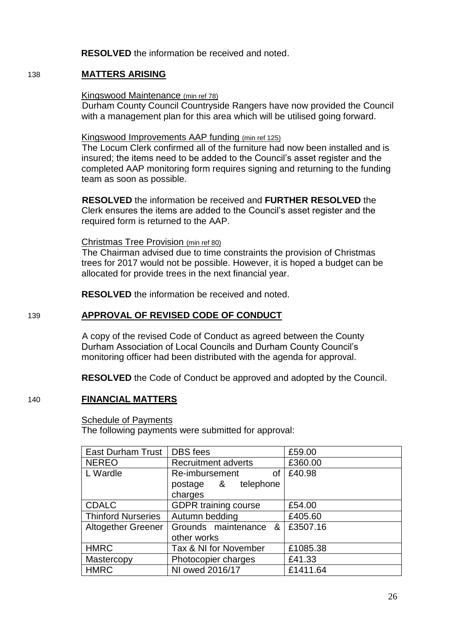**RESOLVED** the information be received and noted.

## 138 **MATTERS ARISING**

#### Kingswood Maintenance (min ref 78)

Durham County Council Countryside Rangers have now provided the Council with a management plan for this area which will be utilised going forward.

#### Kingswood Improvements AAP funding (min ref 125)

The Locum Clerk confirmed all of the furniture had now been installed and is insured; the items need to be added to the Council's asset register and the completed AAP monitoring form requires signing and returning to the funding team as soon as possible.

**RESOLVED** the information be received and **FURTHER RESOLVED** the Clerk ensures the items are added to the Council's asset register and the required form is returned to the AAP.

#### Christmas Tree Provision (min ref 80)

The Chairman advised due to time constraints the provision of Christmas trees for 2017 would not be possible. However, it is hoped a budget can be allocated for provide trees in the next financial year.

**RESOLVED** the information be received and noted.

## 139 **APPROVAL OF REVISED CODE OF CONDUCT**

A copy of the revised Code of Conduct as agreed between the County Durham Association of Local Councils and Durham County Council's monitoring officer had been distributed with the agenda for approval.

**RESOLVED** the Code of Conduct be approved and adopted by the Council.

## 140 **FINANCIAL MATTERS**

## **Schedule of Payments**

The following payments were submitted for approval:

| <b>East Durham Trust</b>  | DBS fees                    | £59.00   |
|---------------------------|-----------------------------|----------|
| <b>NEREO</b>              | <b>Recruitment adverts</b>  | £360.00  |
| L Wardle                  | Re-imbursement<br>of        | £40.98   |
|                           | postage & telephone         |          |
|                           | charges                     |          |
| <b>CDALC</b>              | <b>GDPR</b> training course | £54.00   |
| <b>Thinford Nurseries</b> | Autumn bedding              | £405.60  |
| <b>Altogether Greener</b> | Grounds maintenance &       | £3507.16 |
|                           | other works                 |          |
| <b>HMRC</b>               | Tax & NI for November       | £1085.38 |
| Mastercopy                | Photocopier charges         | £41.33   |
| <b>HMRC</b>               | NI owed 2016/17             | £1411.64 |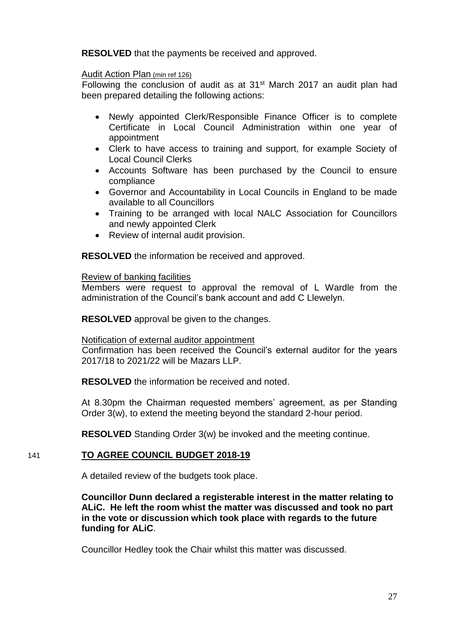**RESOLVED** that the payments be received and approved.

### Audit Action Plan (min ref 126)

Following the conclusion of audit as at 31st March 2017 an audit plan had been prepared detailing the following actions:

- Newly appointed Clerk/Responsible Finance Officer is to complete Certificate in Local Council Administration within one year of appointment
- Clerk to have access to training and support, for example Society of Local Council Clerks
- Accounts Software has been purchased by the Council to ensure compliance
- Governor and Accountability in Local Councils in England to be made available to all Councillors
- Training to be arranged with local NALC Association for Councillors and newly appointed Clerk
- Review of internal audit provision.

**RESOLVED** the information be received and approved.

#### Review of banking facilities

Members were request to approval the removal of L Wardle from the administration of the Council's bank account and add C Llewelyn.

**RESOLVED** approval be given to the changes.

### Notification of external auditor appointment

Confirmation has been received the Council's external auditor for the years 2017/18 to 2021/22 will be Mazars LLP.

**RESOLVED** the information be received and noted.

At 8.30pm the Chairman requested members' agreement, as per Standing Order 3(w), to extend the meeting beyond the standard 2-hour period.

**RESOLVED** Standing Order 3(w) be invoked and the meeting continue.

## 141 **TO AGREE COUNCIL BUDGET 2018-19**

A detailed review of the budgets took place.

**Councillor Dunn declared a registerable interest in the matter relating to ALiC. He left the room whist the matter was discussed and took no part in the vote or discussion which took place with regards to the future funding for ALiC**.

Councillor Hedley took the Chair whilst this matter was discussed.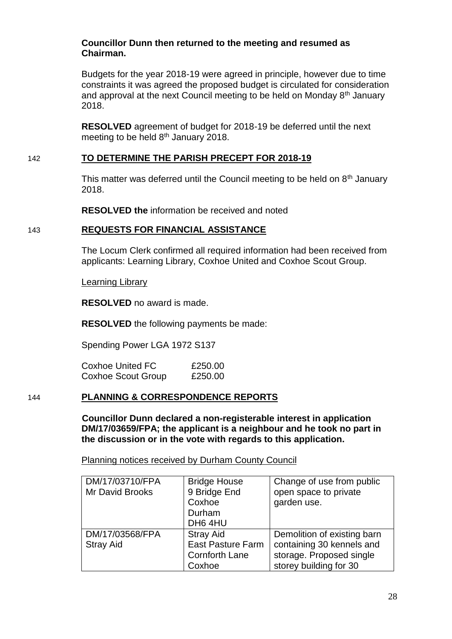### **Councillor Dunn then returned to the meeting and resumed as Chairman.**

Budgets for the year 2018-19 were agreed in principle, however due to time constraints it was agreed the proposed budget is circulated for consideration and approval at the next Council meeting to be held on Monday  $8<sup>th</sup>$  January 2018.

**RESOLVED** agreement of budget for 2018-19 be deferred until the next meeting to be held 8<sup>th</sup> January 2018.

### 142 **TO DETERMINE THE PARISH PRECEPT FOR 2018-19**

This matter was deferred until the Council meeting to be held on  $8<sup>th</sup>$  January 2018.

**RESOLVED the** information be received and noted

## 143 **REQUESTS FOR FINANCIAL ASSISTANCE**

The Locum Clerk confirmed all required information had been received from applicants: Learning Library, Coxhoe United and Coxhoe Scout Group.

Learning Library

**RESOLVED** no award is made.

**RESOLVED** the following payments be made:

Spending Power LGA 1972 S137

Coxhoe United FC E250.00 Coxhoe Scout Group £250.00

### 144 **PLANNING & CORRESPONDENCE REPORTS**

**Councillor Dunn declared a non-registerable interest in application DM/17/03659/FPA; the applicant is a neighbour and he took no part in the discussion or in the vote with regards to this application.**

Planning notices received by Durham County Council

| DM/17/03710/FPA<br>Mr David Brooks  | <b>Bridge House</b><br>9 Bridge End<br>Coxhoe<br>Durham<br>DH6 4HU              | Change of use from public<br>open space to private<br>garden use.                                              |
|-------------------------------------|---------------------------------------------------------------------------------|----------------------------------------------------------------------------------------------------------------|
| DM/17/03568/FPA<br><b>Stray Aid</b> | <b>Stray Aid</b><br><b>East Pasture Farm</b><br><b>Cornforth Lane</b><br>Coxhoe | Demolition of existing barn<br>containing 30 kennels and<br>storage. Proposed single<br>storey building for 30 |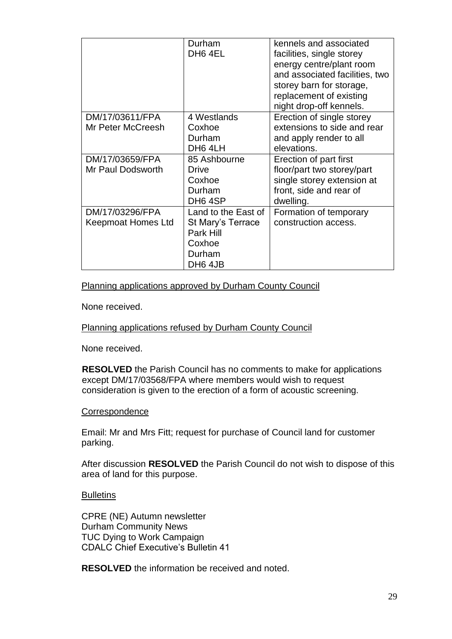|                    | Durham              | kennels and associated         |
|--------------------|---------------------|--------------------------------|
|                    | DH <sub>6</sub> 4EL | facilities, single storey      |
|                    |                     | energy centre/plant room       |
|                    |                     | and associated facilities, two |
|                    |                     | storey barn for storage,       |
|                    |                     | replacement of existing        |
|                    |                     | night drop-off kennels.        |
| DM/17/03611/FPA    | 4 Westlands         | Erection of single storey      |
| Mr Peter McCreesh  | Coxhoe              | extensions to side and rear    |
|                    | Durham              | and apply render to all        |
|                    | DH6 4LH             | elevations.                    |
| DM/17/03659/FPA    | 85 Ashbourne        | Erection of part first         |
| Mr Paul Dodsworth  | Drive               | floor/part two storey/part     |
|                    | Coxhoe              | single storey extension at     |
|                    | Durham              | front, side and rear of        |
|                    | DH <sub>6</sub> 4SP | dwelling.                      |
| DM/17/03296/FPA    | Land to the East of | Formation of temporary         |
| Keepmoat Homes Ltd | St Mary's Terrace   | construction access.           |
|                    | Park Hill           |                                |
|                    | Coxhoe              |                                |
|                    | Durham              |                                |
|                    | DH <sub>6</sub> 4JB |                                |

### Planning applications approved by Durham County Council

None received.

### Planning applications refused by Durham County Council

None received.

**RESOLVED** the Parish Council has no comments to make for applications except DM/17/03568/FPA where members would wish to request consideration is given to the erection of a form of acoustic screening.

#### **Correspondence**

Email: Mr and Mrs Fitt; request for purchase of Council land for customer parking.

After discussion **RESOLVED** the Parish Council do not wish to dispose of this area of land for this purpose.

### **Bulletins**

CPRE (NE) Autumn newsletter Durham Community News TUC Dying to Work Campaign CDALC Chief Executive's Bulletin 41

**RESOLVED** the information be received and noted.